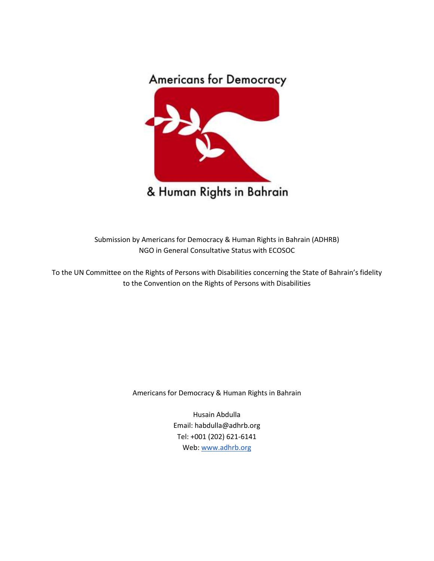

Submission by Americans for Democracy & Human Rights in Bahrain (ADHRB) NGO in General Consultative Status with ECOSOC

To the UN Committee on the Rights of Persons with Disabilities concerning the State of Bahrain's fidelity to the Convention on the Rights of Persons with Disabilities

Americans for Democracy & Human Rights in Bahrain

Husain Abdulla Email: habdulla@adhrb.org Tel: +001 (202) 621-6141 Web[:](http://www.adhrb.org/) [www.adhrb.org](http://www.adhrb.org/)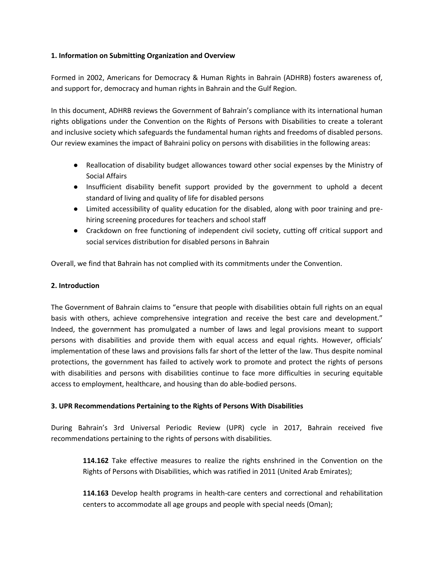### **1. Information on Submitting Organization and Overview**

Formed in 2002, Americans for Democracy & Human Rights in Bahrain (ADHRB) fosters awareness of, and support for, democracy and human rights in Bahrain and the Gulf Region.

In this document, ADHRB reviews the Government of Bahrain's compliance with its international human rights obligations under the Convention on the Rights of Persons with Disabilities to create a tolerant and inclusive society which safeguards the fundamental human rights and freedoms of disabled persons. Our review examines the impact of Bahraini policy on persons with disabilities in the following areas:

- Reallocation of disability budget allowances toward other social expenses by the Ministry of Social Affairs
- Insufficient disability benefit support provided by the government to uphold a decent standard of living and quality of life for disabled persons
- Limited accessibility of quality education for the disabled, along with poor training and prehiring screening procedures for teachers and school staff
- Crackdown on free functioning of independent civil society, cutting off critical support and social services distribution for disabled persons in Bahrain

Overall, we find that Bahrain has not complied with its commitments under the Convention.

#### **2. Introduction**

The Government of Bahrain claims to "ensure that people with disabilities obtain full rights on an equal basis with others, achieve comprehensive integration and receive the best care and development." Indeed, the government has promulgated a number of laws and legal provisions meant to support persons with disabilities and provide them with equal access and equal rights. However, officials' implementation of these laws and provisions falls far short of the letter of the law. Thus despite nominal protections, the government has failed to actively work to promote and protect the rights of persons with disabilities and persons with disabilities continue to face more difficulties in securing equitable access to employment, healthcare, and housing than do able-bodied persons.

#### **3. UPR Recommendations Pertaining to the Rights of Persons With Disabilities**

During Bahrain's 3rd Universal Periodic Review (UPR) cycle in 2017, Bahrain received five recommendations pertaining to the rights of persons with disabilities.

**114.162** Take effective measures to realize the rights enshrined in the Convention on the Rights of Persons with Disabilities, which was ratified in 2011 (United Arab Emirates);

**114.163** Develop health programs in health-care centers and correctional and rehabilitation centers to accommodate all age groups and people with special needs (Oman);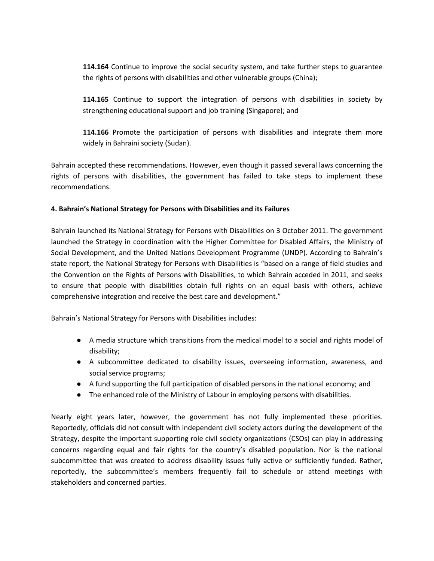**114.164** Continue to improve the social security system, and take further steps to guarantee the rights of persons with disabilities and other vulnerable groups (China);

**114.165** Continue to support the integration of persons with disabilities in society by strengthening educational support and job training (Singapore); and

**114.166** Promote the participation of persons with disabilities and integrate them more widely in Bahraini society (Sudan).

Bahrain accepted these recommendations. However, even though it passed several laws concerning the rights of persons with disabilities, the government has failed to take steps to implement these recommendations.

### **4. Bahrain's National Strategy for Persons with Disabilities and its Failures**

Bahrain launched its National Strategy for Persons with Disabilities on 3 October 2011. The government launched the Strategy in coordination with the Higher Committee for Disabled Affairs, the Ministry of Social Development, and the United Nations Development Programme (UNDP). According to Bahrain's state report, the National Strategy for Persons with Disabilities is "based on a range of field studies and the Convention on the Rights of Persons with Disabilities, to which Bahrain acceded in 2011, and seeks to ensure that people with disabilities obtain full rights on an equal basis with others, achieve comprehensive integration and receive the best care and development."

Bahrain's National Strategy for Persons with Disabilities includes:

- A media structure which transitions from the medical model to a social and rights model of disability;
- A subcommittee dedicated to disability issues, overseeing information, awareness, and social service programs;
- A fund supporting the full participation of disabled persons in the national economy; and
- The enhanced role of the Ministry of Labour in employing persons with disabilities.

Nearly eight years later, however, the government has not fully implemented these priorities. Reportedly, officials did not consult with independent civil society actors during the development of the Strategy, despite the important supporting role civil society organizations (CSOs) can play in addressing concerns regarding equal and fair rights for the country's disabled population. Nor is the national subcommittee that was created to address disability issues fully active or sufficiently funded. Rather, reportedly, the subcommittee's members frequently fail to schedule or attend meetings with stakeholders and concerned parties.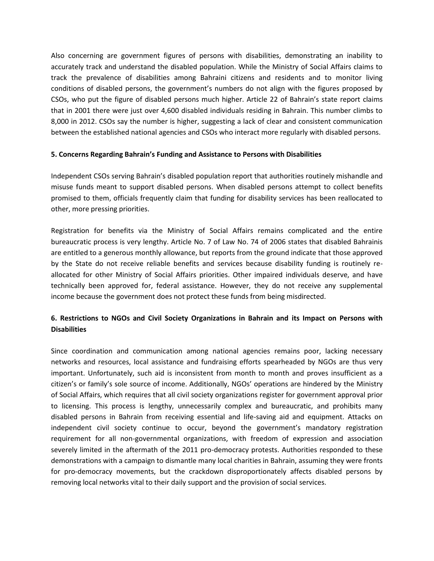Also concerning are government figures of persons with disabilities, demonstrating an inability to accurately track and understand the disabled population. While the Ministry of Social Affairs claims to track the prevalence of disabilities among Bahraini citizens and residents and to monitor living conditions of disabled persons, the government's numbers do not align with the figures proposed by CSOs, who put the figure of disabled persons much higher. Article 22 of Bahrain's state report claims that in 2001 there were just over 4,600 disabled individuals residing in Bahrain. This number climbs to 8,000 in 2012. CSOs say the number is higher, suggesting a lack of clear and consistent communication between the established national agencies and CSOs who interact more regularly with disabled persons.

#### **5. Concerns Regarding Bahrain's Funding and Assistance to Persons with Disabilities**

Independent CSOs serving Bahrain's disabled population report that authorities routinely mishandle and misuse funds meant to support disabled persons. When disabled persons attempt to collect benefits promised to them, officials frequently claim that funding for disability services has been reallocated to other, more pressing priorities.

Registration for benefits via the Ministry of Social Affairs remains complicated and the entire bureaucratic process is very lengthy. Article No. 7 of Law No. 74 of 2006 states that disabled Bahrainis are entitled to a generous monthly allowance, but reports from the ground indicate that those approved by the State do not receive reliable benefits and services because disability funding is routinely reallocated for other Ministry of Social Affairs priorities. Other impaired individuals deserve, and have technically been approved for, federal assistance. However, they do not receive any supplemental income because the government does not protect these funds from being misdirected.

# **6. Restrictions to NGOs and Civil Society Organizations in Bahrain and its Impact on Persons with Disabilities**

Since coordination and communication among national agencies remains poor, lacking necessary networks and resources, local assistance and fundraising efforts spearheaded by NGOs are thus very important. Unfortunately, such aid is inconsistent from month to month and proves insufficient as a citizen's or family's sole source of income. Additionally, NGOs' operations are hindered by the Ministry of Social Affairs, which requires that all civil society organizations register for government approval prior to licensing. This process is lengthy, unnecessarily complex and bureaucratic, and prohibits many disabled persons in Bahrain from receiving essential and life-saving aid and equipment. Attacks on independent civil society continue to occur, beyond the government's mandatory registration requirement for all non-governmental organizations, with freedom of expression and association severely limited in the aftermath of the 2011 pro-democracy protests. Authorities responded to these demonstrations with a campaign to dismantle many local charities in Bahrain, assuming they were fronts for pro-democracy movements, but the crackdown disproportionately affects disabled persons by removing local networks vital to their daily support and the provision of social services.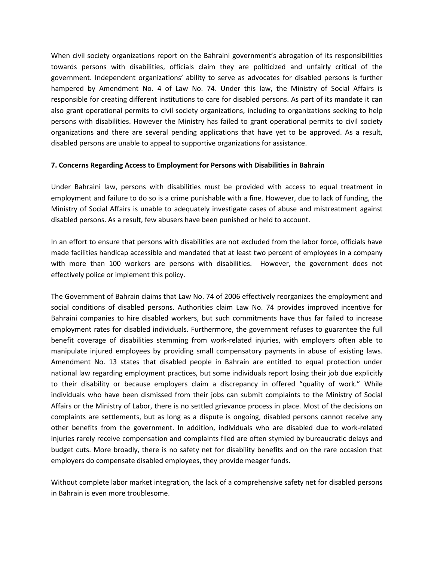When civil society organizations report on the Bahraini government's abrogation of its responsibilities towards persons with disabilities, officials claim they are politicized and unfairly critical of the government. Independent organizations' ability to serve as advocates for disabled persons is further hampered by Amendment No. 4 of Law No. 74. Under this law, the Ministry of Social Affairs is responsible for creating different institutions to care for disabled persons. As part of its mandate it can also grant operational permits to civil society organizations, including to organizations seeking to help persons with disabilities. However the Ministry has failed to grant operational permits to civil society organizations and there are several pending applications that have yet to be approved. As a result, disabled persons are unable to appeal to supportive organizations for assistance.

#### **7. Concerns Regarding Access to Employment for Persons with Disabilities in Bahrain**

Under Bahraini law, persons with disabilities must be provided with access to equal treatment in employment and failure to do so is a crime punishable with a fine. However, due to lack of funding, the Ministry of Social Affairs is unable to adequately investigate cases of abuse and mistreatment against disabled persons. As a result, few abusers have been punished or held to account.

In an effort to ensure that persons with disabilities are not excluded from the labor force, officials have made facilities handicap accessible and mandated that at least two percent of employees in a company with more than 100 workers are persons with disabilities. However, the government does not effectively police or implement this policy.

The Government of Bahrain claims that Law No. 74 of 2006 effectively reorganizes the employment and social conditions of disabled persons. Authorities claim Law No. 74 provides improved incentive for Bahraini companies to hire disabled workers, but such commitments have thus far failed to increase employment rates for disabled individuals. Furthermore, the government refuses to guarantee the full benefit coverage of disabilities stemming from work-related injuries, with employers often able to manipulate injured employees by providing small compensatory payments in abuse of existing laws. Amendment No. 13 states that disabled people in Bahrain are entitled to equal protection under national law regarding employment practices, but some individuals report losing their job due explicitly to their disability or because employers claim a discrepancy in offered "quality of work." While individuals who have been dismissed from their jobs can submit complaints to the Ministry of Social Affairs or the Ministry of Labor, there is no settled grievance process in place. Most of the decisions on complaints are settlements, but as long as a dispute is ongoing, disabled persons cannot receive any other benefits from the government. In addition, individuals who are disabled due to work-related injuries rarely receive compensation and complaints filed are often stymied by bureaucratic delays and budget cuts. More broadly, there is no safety net for disability benefits and on the rare occasion that employers do compensate disabled employees, they provide meager funds.

Without complete labor market integration, the lack of a comprehensive safety net for disabled persons in Bahrain is even more troublesome.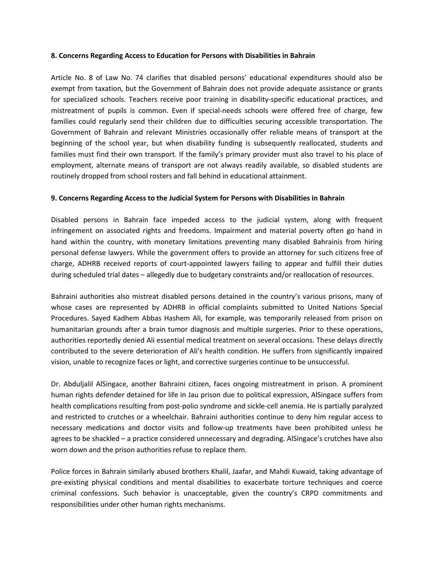#### **8. Concerns Regarding Access to Education for Persons with Disabilities in Bahrain**

Article No. 8 of Law No. 74 clarifies that disabled persons' educational expenditures should also be exempt from taxation, but the Government of Bahrain does not provide adequate assistance or grants for specialized schools. Teachers receive poor training in disability-specific educational practices, and mistreatment of pupils is common. Even if special-needs schools were offered free of charge, few families could regularly send their children due to difficulties securing accessible transportation. The Government of Bahrain and relevant Ministries occasionally offer reliable means of transport at the beginning of the school year, but when disability funding is subsequently reallocated, students and families must find their own transport. If the family's primary provider must also travel to his place of employment, alternate means of transport are not always readily available, so disabled students are routinely dropped from school rosters and fall behind in educational attainment.

#### **9. Concerns Regarding Access to the Judicial System for Persons with Disabilities in Bahrain**

Disabled persons in Bahrain face impeded access to the judicial system, along with frequent infringement on associated rights and freedoms. Impairment and material poverty often go hand in hand within the country, with monetary limitations preventing many disabled Bahrainis from hiring personal defense lawyers. While the government offers to provide an attorney for such citizens free of charge, ADHRB received reports of court-appointed lawyers failing to appear and fulfill their duties during scheduled trial dates – allegedly due to budgetary constraints and/or reallocation of resources.

Bahraini authorities also mistreat disabled persons detained in the country's various prisons, many of whose cases are represented by ADHRB in official complaints submitted to United Nations Special Procedures. Sayed Kadhem Abbas Hashem Ali, for example, was temporarily released from prison on humanitarian grounds after a brain tumor diagnosis and multiple surgeries. Prior to these operations, authorities reportedly denied Ali essential medical treatment on several occasions. These delays directly contributed to the severe deterioration of Ali's health condition. He suffers from significantly impaired vision, unable to recognize faces or light, and corrective surgeries continue to be unsuccessful.

Dr. Abduljalil AlSingace, another Bahraini citizen, faces ongoing mistreatment in prison. A prominent human rights defender detained for life in Jau prison due to political expression, AlSingace suffers from health complications resulting from post-polio syndrome and sickle-cell anemia. He is partially paralyzed and restricted to crutches or a wheelchair. Bahraini authorities continue to deny him regular access to necessary medications and doctor visits and follow-up treatments have been prohibited unless he agrees to be shackled – a practice considered unnecessary and degrading. AlSingace's crutches have also worn down and the prison authorities refuse to replace them.

Police forces in Bahrain similarly abused brothers Khalil, Jaafar, and Mahdi Kuwaid, taking advantage of pre-existing physical conditions and mental disabilities to exacerbate torture techniques and coerce criminal confessions. Such behavior is unacceptable, given the country's CRPD commitments and responsibilities under other human rights mechanisms.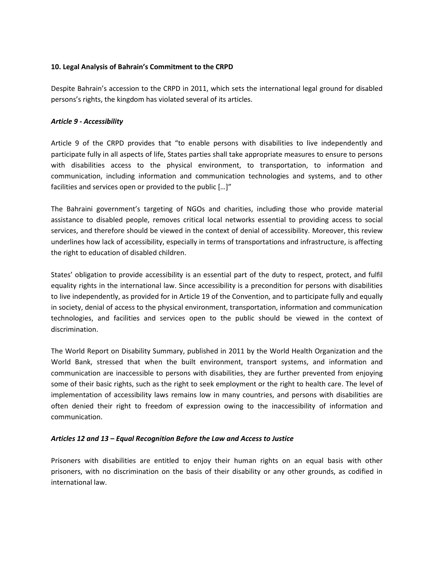### **10. Legal Analysis of Bahrain's Commitment to the CRPD**

Despite Bahrain's accession to the CRPD in 2011, which sets the international legal ground for disabled persons's rights, the kingdom has violated several of its articles.

### *Article 9 - Accessibility*

Article 9 of the CRPD provides that "to enable persons with disabilities to live independently and participate fully in all aspects of life, States parties shall take appropriate measures to ensure to persons with disabilities access to the physical environment, to transportation, to information and communication, including information and communication technologies and systems, and to other facilities and services open or provided to the public […]"

The Bahraini government's targeting of NGOs and charities, including those who provide material assistance to disabled people, removes critical local networks essential to providing access to social services, and therefore should be viewed in the context of denial of accessibility. Moreover, this review underlines how lack of accessibility, especially in terms of transportations and infrastructure, is affecting the right to education of disabled children.

States' obligation to provide accessibility is an essential part of the duty to respect, protect, and fulfil equality rights in the international law. Since accessibility is a precondition for persons with disabilities to live independently, as provided for in Article 19 of the Convention, and to participate fully and equally in society, denial of access to the physical environment, transportation, information and communication technologies, and facilities and services open to the public should be viewed in the context of discrimination.

The World Report on Disability Summary, published in 2011 by the World Health Organization and the World Bank, stressed that when the built environment, transport systems, and information and communication are inaccessible to persons with disabilities, they are further prevented from enjoying some of their basic rights, such as the right to seek employment or the right to health care. The level of implementation of accessibility laws remains low in many countries, and persons with disabilities are often denied their right to freedom of expression owing to the inaccessibility of information and communication.

#### *Articles 12 and 13 – Equal Recognition Before the Law and Access to Justice*

Prisoners with disabilities are entitled to enjoy their human rights on an equal basis with other prisoners, with no discrimination on the basis of their disability or any other grounds, as codified in international law.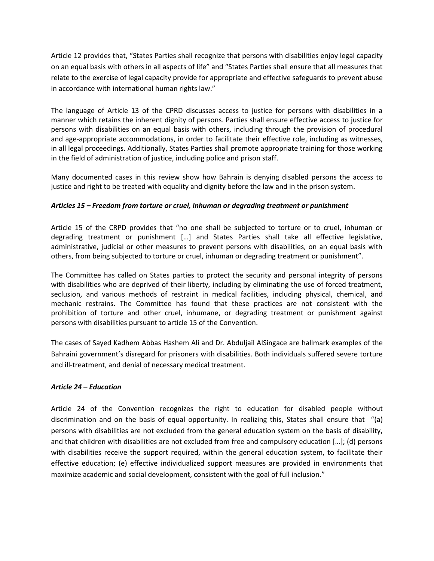Article 12 provides that, "States Parties shall recognize that persons with disabilities enjoy legal capacity on an equal basis with others in all aspects of life" and "States Parties shall ensure that all measures that relate to the exercise of legal capacity provide for appropriate and effective safeguards to prevent abuse in accordance with international human rights law."

The language of Article 13 of the CPRD discusses access to justice for persons with disabilities in a manner which retains the inherent dignity of persons. Parties shall ensure effective access to justice for persons with disabilities on an equal basis with others, including through the provision of procedural and age-appropriate accommodations, in order to facilitate their effective role, including as witnesses, in all legal proceedings. Additionally, States Parties shall promote appropriate training for those working in the field of administration of justice, including police and prison staff.

Many documented cases in this review show how Bahrain is denying disabled persons the access to justice and right to be treated with equality and dignity before the law and in the prison system.

### *Articles 15 – [Freedom from torture or cruel, inhuman or degrading treatment or punishment](https://www.ohchr.org/EN/HRBodies/CRPD/Pages/ConventionRightsPersonsWithDisabilities.aspx#15)*

Article 15 of the CRPD provides that "no one shall be subjected to torture or to cruel, inhuman or degrading treatment or punishment […] and States Parties shall take all effective legislative, administrative, judicial or other measures to prevent persons with disabilities, on an equal basis with others, from being subjected to torture or cruel, inhuman or degrading treatment or punishment".

The Committee has called on States parties to protect the security and personal integrity of persons with disabilities who are deprived of their liberty, including by eliminating the use of forced treatment, seclusion, and various methods of restraint in medical facilities, including physical, chemical, and mechanic restrains. The Committee has found that these practices are not consistent with the prohibition of torture and other cruel, inhumane, or degrading treatment or punishment against persons with disabilities pursuant to article 15 of the Convention.

The cases of Sayed Kadhem Abbas Hashem Ali and Dr. Abduljail AlSingace are hallmark examples of the Bahraini government's disregard for prisoners with disabilities. Both individuals suffered severe torture and ill-treatment, and denial of necessary medical treatment.

#### *Article 24 – Education*

Article 24 of the Convention recognizes the right to education for disabled people without discrimination and on the basis of equal opportunity. In realizing this, States shall ensure that "(a) persons with disabilities are not excluded from the general education system on the basis of disability, and that children with disabilities are not excluded from free and compulsory education […]; (d) persons with disabilities receive the support required, within the general education system, to facilitate their effective education; (e) effective individualized support measures are provided in environments that maximize academic and social development, consistent with the goal of full inclusion."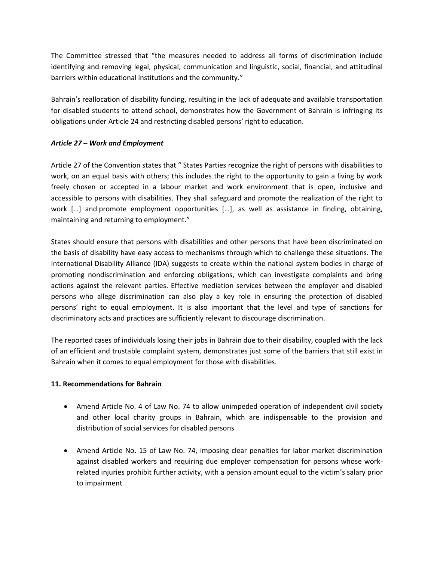The Committee stressed that "the measures needed to address all forms of discrimination include identifying and removing legal, physical, communication and linguistic, social, financial, and attitudinal barriers within educational institutions and the community."

Bahrain's reallocation of disability funding, resulting in the lack of adequate and available transportation for disabled students to attend school, demonstrates how the Government of Bahrain is infringing its obligations under Article 24 and restricting disabled persons' right to education.

## *Article 27 – Work and Employment*

Article 27 of the Convention states that " States Parties recognize the right of persons with disabilities to work, on an equal basis with others; this includes the right to the opportunity to gain a living by work freely chosen or accepted in a labour market and work environment that is open, inclusive and accessible to persons with disabilities. They shall safeguard and promote the realization of the right to work [...] and promote employment opportunities [...], as well as assistance in finding, obtaining, maintaining and returning to employment."

States should ensure that persons with disabilities and other persons that have been discriminated on the basis of disability have easy access to mechanisms through which to challenge these situations. The International Disability Alliance (IDA) suggests to create within the national system bodies in charge of promoting nondiscrimination and enforcing obligations, which can investigate complaints and bring actions against the relevant parties. Effective mediation services between the employer and disabled persons who allege discrimination can also play a key role in ensuring the protection of disabled persons' right to equal employment. It is also important that the level and type of sanctions for discriminatory acts and practices are sufficiently relevant to discourage discrimination.

The reported cases of individuals losing their jobs in Bahrain due to their disability, coupled with the lack of an efficient and trustable complaint system, demonstrates just some of the barriers that still exist in Bahrain when it comes to equal employment for those with disabilities.

## **11. Recommendations for Bahrain**

- Amend Article No. 4 of Law No. 74 to allow unimpeded operation of independent civil society and other local charity groups in Bahrain, which are indispensable to the provision and distribution of social services for disabled persons
- Amend Article No. 15 of Law No. 74, imposing clear penalties for labor market discrimination against disabled workers and requiring due employer compensation for persons whose workrelated injuries prohibit further activity, with a pension amount equal to the victim's salary prior to impairment